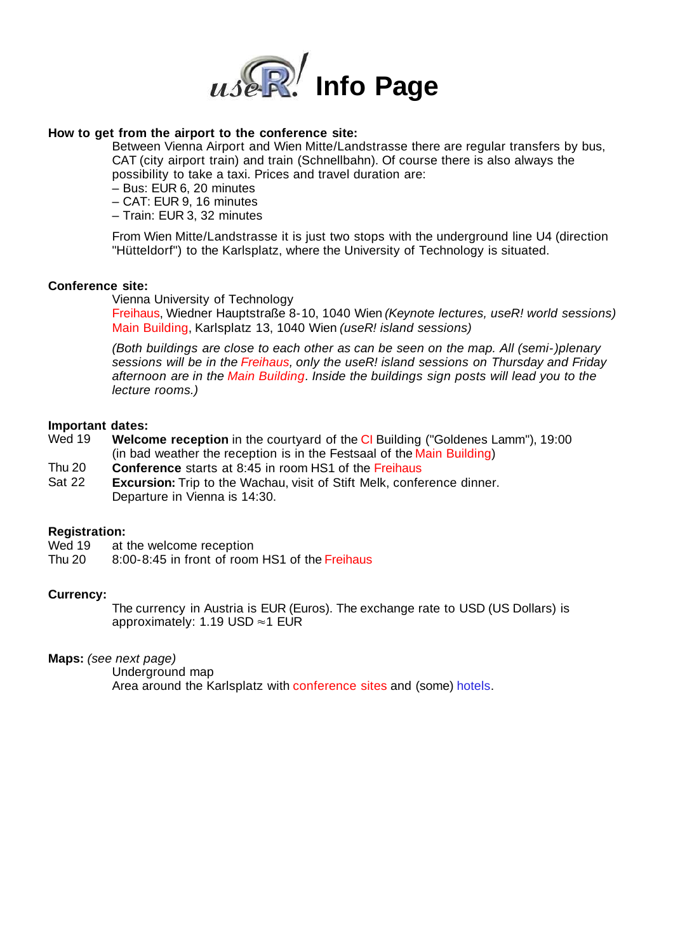

## **How to get from the airport to the conference site:**

Between Vienna Airport and Wien Mitte/Landstrasse there are regular transfers by bus, CAT (city airport train) and train (Schnellbahn). Of course there is also always the possibility to take a taxi. Prices and travel duration are:

- Bus: EUR 6, 20 minutes
- CAT: EUR 9, 16 minutes
- Train: EUR 3, 32 minutes

From Wien Mitte/Landstrasse it is just two stops with the underground line U4 (direction "Hütteldorf") to the Karlsplatz, where the University of Technology is situated.

### **Conference site:**

Vienna University of Technology

Freihaus, Wiedner Hauptstraße 8-10, 1040 Wien (Keynote lectures, useR! world sessions) Main Building, Karlsplatz 13, 1040 Wien (useR! island sessions)

(Both buildings are close to each other as can be seen on the map. All (semi-)plenary sessions will be in the Freihaus, only the useR! island sessions on Thursday and Friday afternoon are in the Main Building. Inside the buildings sign posts will lead you to the lecture rooms.)

# **Important dates:**

- **Welcome reception** in the courtyard of the CI Building ("Goldenes Lamm"), 19:00 (in bad weather the reception is in the Festsaal of the Main Building)
- Thu 20 **Conference** starts at 8:45 in room HS1 of the Freihaus
- Sat 22 **Excursion:** Trip to the Wachau, visit of Stift Melk, conference dinner. Departure in Vienna is 14:30.

### **Registration:**

- Wed 19 at the welcome reception
- Thu 20 8:00-8:45 in front of room HS1 of the Freihaus

#### **Currency:**

The currency in Austria is EUR (Euros). The exchange rate to USD (US Dollars) is approximately: 1.19 USD  $\approx$  1 EUR

**Maps:** (see next page)

Underground map Area around the Karlsplatz with conference sites and (some) hotels.